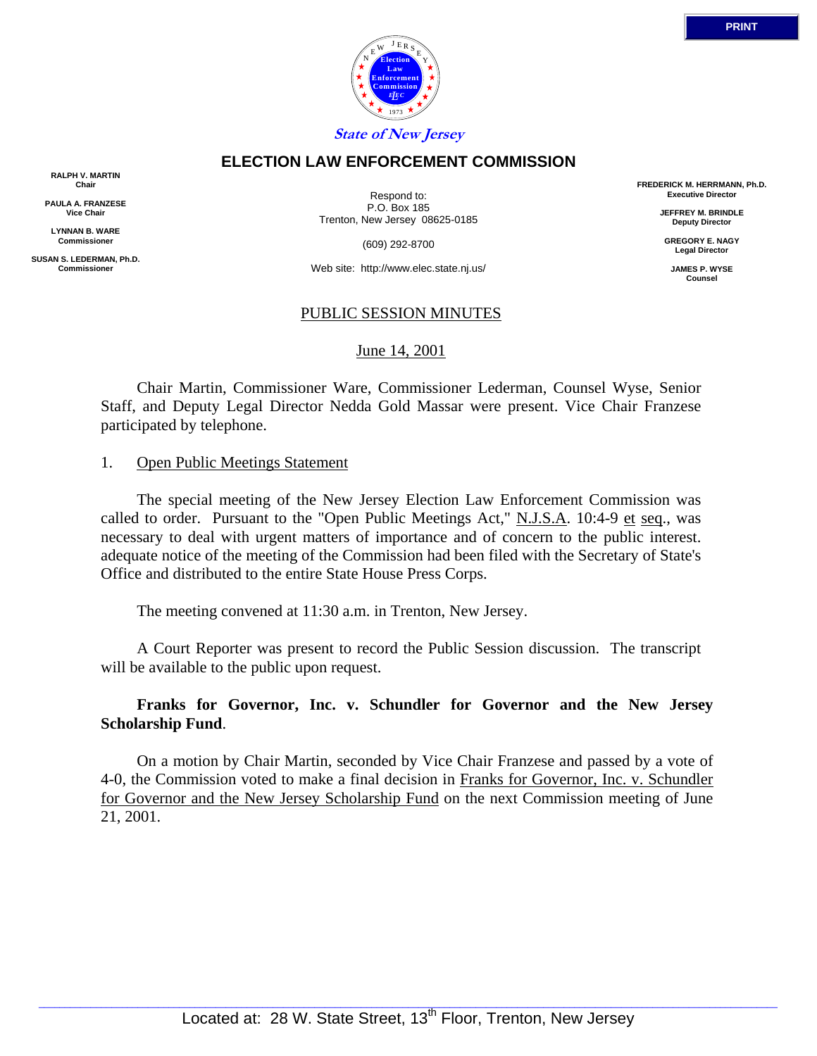

## **ELECTION LAW ENFORCEMENT COMMISSION**

**RALPH V. MARTIN Chair**

**PAULA A. FRANZESE Vice Chair**

**LYNNAN B. WARE Commissioner**

**SUSAN S. LEDERMAN, Ph.D. Commissioner**

Respond to: P.O. Box 185 Trenton, New Jersey 08625-0185

(609) 292-8700

Web site: http://www.elec.state.nj.us/

## PUBLIC SESSION MINUTES

#### June 14, 2001

 Chair Martin, Commissioner Ware, Commissioner Lederman, Counsel Wyse, Senior Staff, and Deputy Legal Director Nedda Gold Massar were present. Vice Chair Franzese participated by telephone.

#### 1. Open Public Meetings Statement

 The special meeting of the New Jersey Election Law Enforcement Commission was called to order. Pursuant to the "Open Public Meetings Act," N.J.S.A. 10:4-9 et seq., was necessary to deal with urgent matters of importance and of concern to the public interest. adequate notice of the meeting of the Commission had been filed with the Secretary of State's Office and distributed to the entire State House Press Corps.

The meeting convened at 11:30 a.m. in Trenton, New Jersey.

 A Court Reporter was present to record the Public Session discussion. The transcript will be available to the public upon request.

**Franks for Governor, Inc. v. Schundler for Governor and the New Jersey Scholarship Fund**.

 On a motion by Chair Martin, seconded by Vice Chair Franzese and passed by a vote of 4-0, the Commission voted to make a final decision in Franks for Governor, Inc. v. Schundler for Governor and the New Jersey Scholarship Fund on the next Commission meeting of June 21, 2001.

**FREDERICK M. HERRMANN, Ph.D. Executive Director JEFFREY M. BRINDLE Deputy Director GREGORY E. NAGY Legal Director JAMES P. WYSE Counsel**